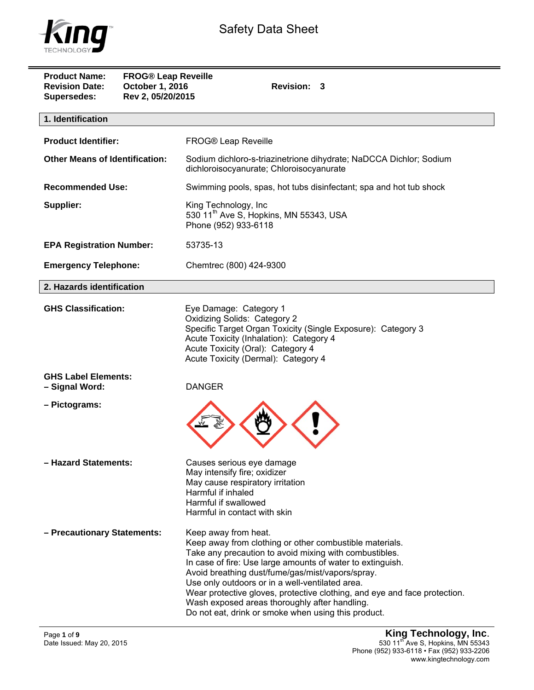

| <b>Product Name:</b><br><b>Revision Date:</b><br>Supersedes: | <b>FROG® Leap Reveille</b><br>October 1, 2016<br>Rev 2, 05/20/2015 | <b>Revision:</b><br>3                                                                                                                                                                                                                                                                                                                                                                                                                                                                               |  |  |  |
|--------------------------------------------------------------|--------------------------------------------------------------------|-----------------------------------------------------------------------------------------------------------------------------------------------------------------------------------------------------------------------------------------------------------------------------------------------------------------------------------------------------------------------------------------------------------------------------------------------------------------------------------------------------|--|--|--|
| 1. Identification                                            |                                                                    |                                                                                                                                                                                                                                                                                                                                                                                                                                                                                                     |  |  |  |
| <b>Product Identifier:</b>                                   |                                                                    | FROG® Leap Reveille                                                                                                                                                                                                                                                                                                                                                                                                                                                                                 |  |  |  |
| <b>Other Means of Identification:</b>                        |                                                                    | Sodium dichloro-s-triazinetrione dihydrate; NaDCCA Dichlor; Sodium<br>dichloroisocyanurate; Chloroisocyanurate                                                                                                                                                                                                                                                                                                                                                                                      |  |  |  |
| <b>Recommended Use:</b>                                      |                                                                    | Swimming pools, spas, hot tubs disinfectant; spa and hot tub shock                                                                                                                                                                                                                                                                                                                                                                                                                                  |  |  |  |
| <b>Supplier:</b>                                             |                                                                    | King Technology, Inc<br>530 11 <sup>th</sup> Ave S, Hopkins, MN 55343, USA<br>Phone (952) 933-6118                                                                                                                                                                                                                                                                                                                                                                                                  |  |  |  |
| <b>EPA Registration Number:</b>                              |                                                                    | 53735-13                                                                                                                                                                                                                                                                                                                                                                                                                                                                                            |  |  |  |
| <b>Emergency Telephone:</b>                                  |                                                                    | Chemtrec (800) 424-9300                                                                                                                                                                                                                                                                                                                                                                                                                                                                             |  |  |  |
| 2. Hazards identification                                    |                                                                    |                                                                                                                                                                                                                                                                                                                                                                                                                                                                                                     |  |  |  |
| <b>GHS Classification:</b>                                   |                                                                    | Eye Damage: Category 1<br><b>Oxidizing Solids: Category 2</b><br>Specific Target Organ Toxicity (Single Exposure): Category 3<br>Acute Toxicity (Inhalation): Category 4<br>Acute Toxicity (Oral): Category 4<br>Acute Toxicity (Dermal): Category 4                                                                                                                                                                                                                                                |  |  |  |
| <b>GHS Label Elements:</b><br>- Signal Word:                 |                                                                    | <b>DANGER</b>                                                                                                                                                                                                                                                                                                                                                                                                                                                                                       |  |  |  |
| - Pictograms:                                                |                                                                    |                                                                                                                                                                                                                                                                                                                                                                                                                                                                                                     |  |  |  |
| - Hazard Statements:                                         |                                                                    | Causes serious eye damage<br>May intensify fire; oxidizer<br>May cause respiratory irritation<br>Harmful if inhaled<br>Harmful if swallowed<br>Harmful in contact with skin                                                                                                                                                                                                                                                                                                                         |  |  |  |
| - Precautionary Statements:                                  |                                                                    | Keep away from heat.<br>Keep away from clothing or other combustible materials.<br>Take any precaution to avoid mixing with combustibles.<br>In case of fire: Use large amounts of water to extinguish.<br>Avoid breathing dust/fume/gas/mist/vapors/spray.<br>Use only outdoors or in a well-ventilated area.<br>Wear protective gloves, protective clothing, and eye and face protection.<br>Wash exposed areas thoroughly after handling.<br>Do not eat, drink or smoke when using this product. |  |  |  |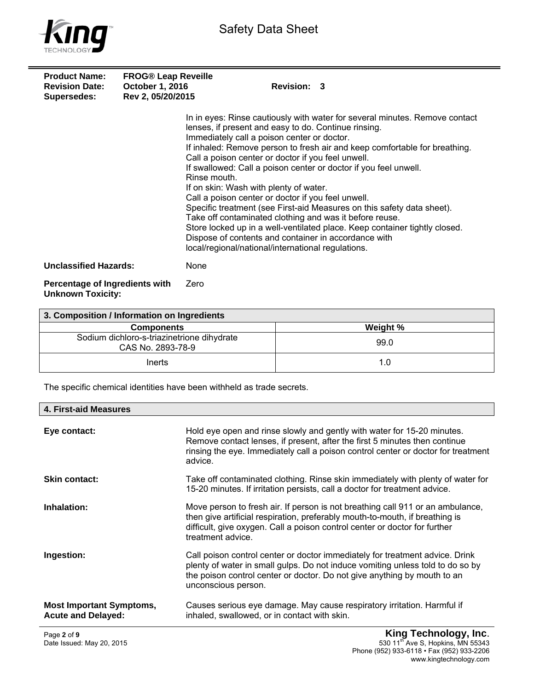

| <b>Product Name:</b><br><b>Revision Date:</b><br>Supersedes: | <b>FROG® Leap Reveille</b><br><b>October 1, 2016</b><br>Rev 2, 05/20/2015 |                                                                                                                                                                                                                                                                                                                                                                                                                                                    | Revision: 3 |                                                                                                                                                                                                                                                                                                                                                                                       |
|--------------------------------------------------------------|---------------------------------------------------------------------------|----------------------------------------------------------------------------------------------------------------------------------------------------------------------------------------------------------------------------------------------------------------------------------------------------------------------------------------------------------------------------------------------------------------------------------------------------|-------------|---------------------------------------------------------------------------------------------------------------------------------------------------------------------------------------------------------------------------------------------------------------------------------------------------------------------------------------------------------------------------------------|
|                                                              |                                                                           | lenses, if present and easy to do. Continue rinsing.<br>Immediately call a poison center or doctor.<br>Call a poison center or doctor if you feel unwell.<br>Rinse mouth.<br>If on skin: Wash with plenty of water.<br>Call a poison center or doctor if you feel unwell.<br>Take off contaminated clothing and was it before reuse.<br>Dispose of contents and container in accordance with<br>local/regional/national/international regulations. |             | In in eyes: Rinse cautiously with water for several minutes. Remove contact<br>If inhaled: Remove person to fresh air and keep comfortable for breathing.<br>If swallowed: Call a poison center or doctor if you feel unwell.<br>Specific treatment (see First-aid Measures on this safety data sheet).<br>Store locked up in a well-ventilated place. Keep container tightly closed. |
| <b>Unclassified Hazards:</b>                                 |                                                                           | None                                                                                                                                                                                                                                                                                                                                                                                                                                               |             |                                                                                                                                                                                                                                                                                                                                                                                       |
| Percentage of Ingredients with<br><b>Unknown Toxicity:</b>   |                                                                           | Zero                                                                                                                                                                                                                                                                                                                                                                                                                                               |             |                                                                                                                                                                                                                                                                                                                                                                                       |

| 3. Composition / Information on Ingredients                     |          |  |  |  |
|-----------------------------------------------------------------|----------|--|--|--|
| <b>Components</b>                                               | Weight % |  |  |  |
| Sodium dichloro-s-triazinetrione dihydrate<br>CAS No. 2893-78-9 | 99.0     |  |  |  |
| Inerts                                                          | 1.0      |  |  |  |

The specific chemical identities have been withheld as trade secrets.

| 4. First-aid Measures                                        |                                                                                                                                                                                                                                                                   |
|--------------------------------------------------------------|-------------------------------------------------------------------------------------------------------------------------------------------------------------------------------------------------------------------------------------------------------------------|
| Eye contact:                                                 | Hold eye open and rinse slowly and gently with water for 15-20 minutes.<br>Remove contact lenses, if present, after the first 5 minutes then continue<br>rinsing the eye. Immediately call a poison control center or doctor for treatment<br>advice.             |
| <b>Skin contact:</b>                                         | Take off contaminated clothing. Rinse skin immediately with plenty of water for<br>15-20 minutes. If irritation persists, call a doctor for treatment advice.                                                                                                     |
| Inhalation:                                                  | Move person to fresh air. If person is not breathing call 911 or an ambulance,<br>then give artificial respiration, preferably mouth-to-mouth, if breathing is<br>difficult, give oxygen. Call a poison control center or doctor for further<br>treatment advice. |
| Ingestion:                                                   | Call poison control center or doctor immediately for treatment advice. Drink<br>plenty of water in small gulps. Do not induce vomiting unless told to do so by<br>the poison control center or doctor. Do not give anything by mouth to an<br>unconscious person. |
| <b>Most Important Symptoms,</b><br><b>Acute and Delayed:</b> | Causes serious eye damage. May cause respiratory irritation. Harmful if<br>inhaled, swallowed, or in contact with skin.                                                                                                                                           |
| Page 2 of 9                                                  | King Technology, Inc.                                                                                                                                                                                                                                             |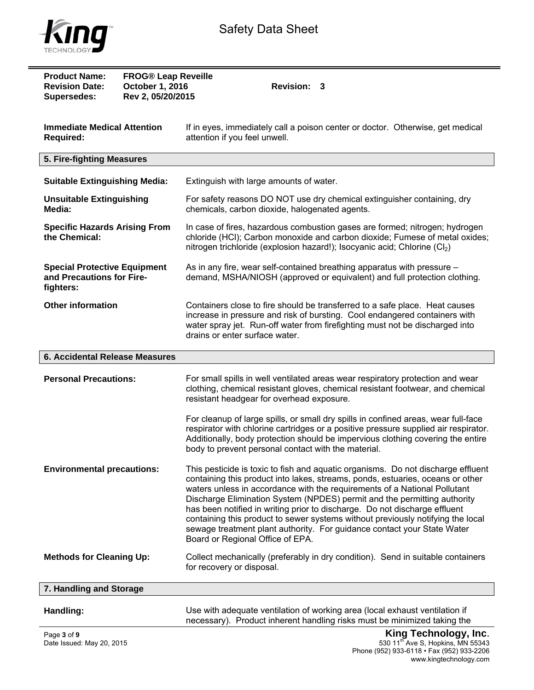

| <b>Product Name:</b><br><b>Revision Date:</b><br><b>Supersedes:</b>           | <b>FROG® Leap Reveille</b><br>October 1, 2016<br>Rev 2, 05/20/2015 | <b>Revision:</b><br>3                                                                                                                                                                                                                                                                                                                                                                                                                                                                                                                                                                                       |  |  |  |  |
|-------------------------------------------------------------------------------|--------------------------------------------------------------------|-------------------------------------------------------------------------------------------------------------------------------------------------------------------------------------------------------------------------------------------------------------------------------------------------------------------------------------------------------------------------------------------------------------------------------------------------------------------------------------------------------------------------------------------------------------------------------------------------------------|--|--|--|--|
| <b>Immediate Medical Attention</b><br><b>Required:</b>                        |                                                                    | If in eyes, immediately call a poison center or doctor. Otherwise, get medical<br>attention if you feel unwell.                                                                                                                                                                                                                                                                                                                                                                                                                                                                                             |  |  |  |  |
| 5. Fire-fighting Measures                                                     |                                                                    |                                                                                                                                                                                                                                                                                                                                                                                                                                                                                                                                                                                                             |  |  |  |  |
| <b>Suitable Extinguishing Media:</b>                                          |                                                                    | Extinguish with large amounts of water.                                                                                                                                                                                                                                                                                                                                                                                                                                                                                                                                                                     |  |  |  |  |
| <b>Unsuitable Extinguishing</b><br>Media:                                     |                                                                    | For safety reasons DO NOT use dry chemical extinguisher containing, dry<br>chemicals, carbon dioxide, halogenated agents.                                                                                                                                                                                                                                                                                                                                                                                                                                                                                   |  |  |  |  |
| <b>Specific Hazards Arising From</b><br>the Chemical:                         |                                                                    | In case of fires, hazardous combustion gases are formed; nitrogen; hydrogen<br>chloride (HCl); Carbon monoxide and carbon dioxide; Fumese of metal oxides;<br>nitrogen trichloride (explosion hazard!); Isocyanic acid; Chlorine (Cl <sub>2</sub> )                                                                                                                                                                                                                                                                                                                                                         |  |  |  |  |
| <b>Special Protective Equipment</b><br>and Precautions for Fire-<br>fighters: |                                                                    | As in any fire, wear self-contained breathing apparatus with pressure -<br>demand, MSHA/NIOSH (approved or equivalent) and full protection clothing.                                                                                                                                                                                                                                                                                                                                                                                                                                                        |  |  |  |  |
| <b>Other information</b>                                                      |                                                                    | Containers close to fire should be transferred to a safe place. Heat causes<br>increase in pressure and risk of bursting. Cool endangered containers with<br>water spray jet. Run-off water from firefighting must not be discharged into<br>drains or enter surface water.                                                                                                                                                                                                                                                                                                                                 |  |  |  |  |
| <b>6. Accidental Release Measures</b>                                         |                                                                    |                                                                                                                                                                                                                                                                                                                                                                                                                                                                                                                                                                                                             |  |  |  |  |
|                                                                               |                                                                    |                                                                                                                                                                                                                                                                                                                                                                                                                                                                                                                                                                                                             |  |  |  |  |
| <b>Personal Precautions:</b>                                                  |                                                                    | For small spills in well ventilated areas wear respiratory protection and wear<br>clothing, chemical resistant gloves, chemical resistant footwear, and chemical<br>resistant headgear for overhead exposure.                                                                                                                                                                                                                                                                                                                                                                                               |  |  |  |  |
|                                                                               |                                                                    | For cleanup of large spills, or small dry spills in confined areas, wear full-face<br>respirator with chlorine cartridges or a positive pressure supplied air respirator.<br>Additionally, body protection should be impervious clothing covering the entire<br>body to prevent personal contact with the material.                                                                                                                                                                                                                                                                                         |  |  |  |  |
| <b>Environmental precautions:</b>                                             |                                                                    | This pesticide is toxic to fish and aquatic organisms. Do not discharge effluent<br>containing this product into lakes, streams, ponds, estuaries, oceans or other<br>waters unless in accordance with the requirements of a National Pollutant<br>Discharge Elimination System (NPDES) permit and the permitting authority<br>has been notified in writing prior to discharge. Do not discharge effluent<br>containing this product to sewer systems without previously notifying the local<br>sewage treatment plant authority. For guidance contact your State Water<br>Board or Regional Office of EPA. |  |  |  |  |
| <b>Methods for Cleaning Up:</b>                                               |                                                                    | Collect mechanically (preferably in dry condition). Send in suitable containers<br>for recovery or disposal.                                                                                                                                                                                                                                                                                                                                                                                                                                                                                                |  |  |  |  |
| 7. Handling and Storage                                                       |                                                                    |                                                                                                                                                                                                                                                                                                                                                                                                                                                                                                                                                                                                             |  |  |  |  |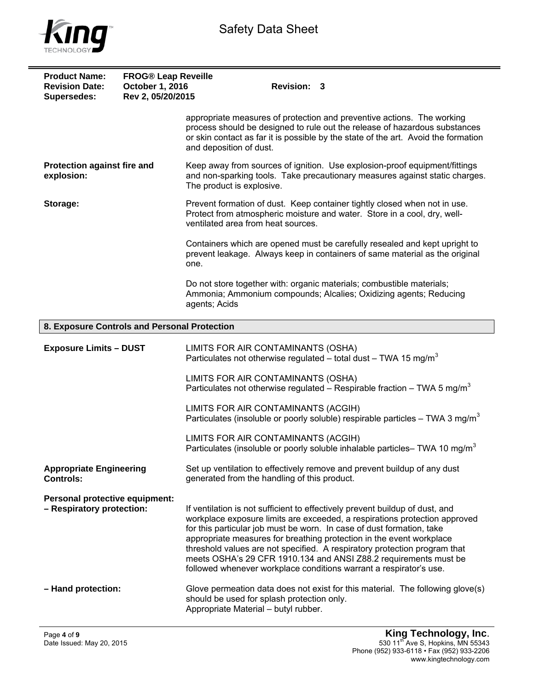

| <b>Product Name:</b><br><b>Revision Date:</b><br><b>Supersedes:</b> | <b>FROG® Leap Reveille</b><br>October 1, 2016<br>Rev 2, 05/20/2015 | <b>Revision: 3</b>                                                                                                                                                                                                                                                                                                                                                                                                                                                                                                                 |
|---------------------------------------------------------------------|--------------------------------------------------------------------|------------------------------------------------------------------------------------------------------------------------------------------------------------------------------------------------------------------------------------------------------------------------------------------------------------------------------------------------------------------------------------------------------------------------------------------------------------------------------------------------------------------------------------|
|                                                                     |                                                                    | appropriate measures of protection and preventive actions. The working<br>process should be designed to rule out the release of hazardous substances<br>or skin contact as far it is possible by the state of the art. Avoid the formation<br>and deposition of dust.                                                                                                                                                                                                                                                              |
| Protection against fire and<br>explosion:                           |                                                                    | Keep away from sources of ignition. Use explosion-proof equipment/fittings<br>and non-sparking tools. Take precautionary measures against static charges.<br>The product is explosive.                                                                                                                                                                                                                                                                                                                                             |
| Storage:                                                            |                                                                    | Prevent formation of dust. Keep container tightly closed when not in use.<br>Protect from atmospheric moisture and water. Store in a cool, dry, well-<br>ventilated area from heat sources.                                                                                                                                                                                                                                                                                                                                        |
|                                                                     |                                                                    | Containers which are opened must be carefully resealed and kept upright to<br>prevent leakage. Always keep in containers of same material as the original<br>one.                                                                                                                                                                                                                                                                                                                                                                  |
|                                                                     |                                                                    | Do not store together with: organic materials; combustible materials;<br>Ammonia; Ammonium compounds; Alcalies; Oxidizing agents; Reducing<br>agents; Acids                                                                                                                                                                                                                                                                                                                                                                        |
| 8. Exposure Controls and Personal Protection                        |                                                                    |                                                                                                                                                                                                                                                                                                                                                                                                                                                                                                                                    |
| <b>Exposure Limits - DUST</b>                                       |                                                                    | LIMITS FOR AIR CONTAMINANTS (OSHA)<br>Particulates not otherwise regulated – total dust – TWA 15 mg/m <sup>3</sup>                                                                                                                                                                                                                                                                                                                                                                                                                 |
|                                                                     |                                                                    | LIMITS FOR AIR CONTAMINANTS (OSHA)<br>Particulates not otherwise regulated – Respirable fraction – TWA 5 mg/m <sup>3</sup>                                                                                                                                                                                                                                                                                                                                                                                                         |
|                                                                     |                                                                    | LIMITS FOR AIR CONTAMINANTS (ACGIH)<br>Particulates (insoluble or poorly soluble) respirable particles $-$ TWA 3 mg/m <sup>3</sup>                                                                                                                                                                                                                                                                                                                                                                                                 |
|                                                                     |                                                                    | LIMITS FOR AIR CONTAMINANTS (ACGIH)<br>Particulates (insoluble or poorly soluble inhalable particles– TWA 10 mg/m <sup>3</sup>                                                                                                                                                                                                                                                                                                                                                                                                     |
| <b>Appropriate Engineering</b><br><b>Controls:</b>                  |                                                                    | Set up ventilation to effectively remove and prevent buildup of any dust<br>generated from the handling of this product.                                                                                                                                                                                                                                                                                                                                                                                                           |
| Personal protective equipment:<br>- Respiratory protection:         |                                                                    | If ventilation is not sufficient to effectively prevent buildup of dust, and<br>workplace exposure limits are exceeded, a respirations protection approved<br>for this particular job must be worn. In case of dust formation, take<br>appropriate measures for breathing protection in the event workplace<br>threshold values are not specified. A respiratory protection program that<br>meets OSHA's 29 CFR 1910.134 and ANSI Z88.2 requirements must be<br>followed whenever workplace conditions warrant a respirator's use. |
| - Hand protection:                                                  |                                                                    | Glove permeation data does not exist for this material. The following glove(s)<br>should be used for splash protection only.<br>Appropriate Material - butyl rubber.                                                                                                                                                                                                                                                                                                                                                               |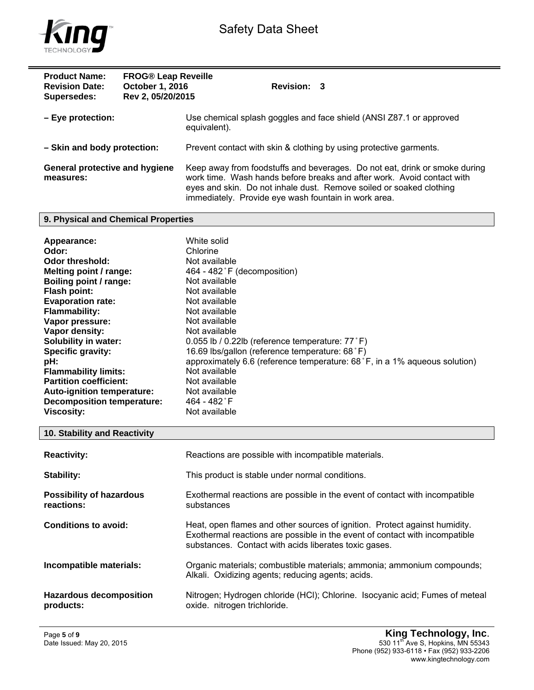



| <b>Product Name:</b><br><b>Revision Date:</b><br>Supersedes: | <b>FROG® Leap Reveille</b><br>October 1, 2016<br>Rev 2, 05/20/2015 | <b>Revision: 3</b>                                                                                                                                                                                                                                                                  |
|--------------------------------------------------------------|--------------------------------------------------------------------|-------------------------------------------------------------------------------------------------------------------------------------------------------------------------------------------------------------------------------------------------------------------------------------|
| $-$ Eye protection:                                          |                                                                    | Use chemical splash goggles and face shield (ANSI Z87.1 or approved<br>equivalent).                                                                                                                                                                                                 |
| - Skin and body protection:                                  |                                                                    | Prevent contact with skin & clothing by using protective garments.                                                                                                                                                                                                                  |
| <b>General protective and hygiene</b><br>measures:           |                                                                    | Keep away from foodstuffs and beverages. Do not eat, drink or smoke during<br>work time. Wash hands before breaks and after work. Avoid contact with<br>eyes and skin. Do not inhale dust. Remove soiled or soaked clothing<br>immediately. Provide eye wash fountain in work area. |

## **9. Physical and Chemical Properties**

## **10. Stability and Reactivity**

| <b>Reactivity:</b>                            | Reactions are possible with incompatible materials.                                                                                                                                                                |
|-----------------------------------------------|--------------------------------------------------------------------------------------------------------------------------------------------------------------------------------------------------------------------|
| Stability:                                    | This product is stable under normal conditions.                                                                                                                                                                    |
| <b>Possibility of hazardous</b><br>reactions: | Exothermal reactions are possible in the event of contact with incompatible<br>substances                                                                                                                          |
| <b>Conditions to avoid:</b>                   | Heat, open flames and other sources of ignition. Protect against humidity.<br>Exothermal reactions are possible in the event of contact with incompatible<br>substances. Contact with acids liberates toxic gases. |
| Incompatible materials:                       | Organic materials; combustible materials; ammonia; ammonium compounds;<br>Alkali. Oxidizing agents; reducing agents; acids.                                                                                        |
| <b>Hazardous decomposition</b><br>products:   | Nitrogen; Hydrogen chloride (HCI); Chlorine. Isocyanic acid; Fumes of meteal<br>oxide. nitrogen trichloride.                                                                                                       |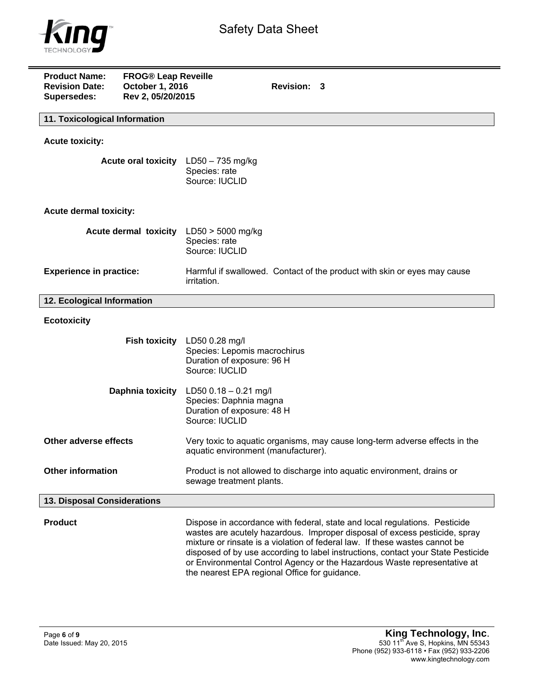

| <b>Product Name:</b><br><b>Revision Date:</b><br>Supersedes: | <b>FROG® Leap Reveille</b><br>October 1, 2016<br>Rev 2, 05/20/2015 |                                                                                                   | Revision: 3 |                                                                                                                                                                                                                                                                                                                                                                                                         |  |  |
|--------------------------------------------------------------|--------------------------------------------------------------------|---------------------------------------------------------------------------------------------------|-------------|---------------------------------------------------------------------------------------------------------------------------------------------------------------------------------------------------------------------------------------------------------------------------------------------------------------------------------------------------------------------------------------------------------|--|--|
|                                                              | 11. Toxicological Information                                      |                                                                                                   |             |                                                                                                                                                                                                                                                                                                                                                                                                         |  |  |
| <b>Acute toxicity:</b>                                       |                                                                    |                                                                                                   |             |                                                                                                                                                                                                                                                                                                                                                                                                         |  |  |
| <b>Acute oral toxicity</b>                                   |                                                                    | $LD50 - 735$ mg/kg<br>Species: rate<br>Source: IUCLID                                             |             |                                                                                                                                                                                                                                                                                                                                                                                                         |  |  |
| <b>Acute dermal toxicity:</b>                                |                                                                    |                                                                                                   |             |                                                                                                                                                                                                                                                                                                                                                                                                         |  |  |
|                                                              | Acute dermal toxicity                                              | $LD50 > 5000$ mg/kg<br>Species: rate<br>Source: IUCLID                                            |             |                                                                                                                                                                                                                                                                                                                                                                                                         |  |  |
| <b>Experience in practice:</b>                               |                                                                    | irritation.                                                                                       |             | Harmful if swallowed. Contact of the product with skin or eyes may cause                                                                                                                                                                                                                                                                                                                                |  |  |
| 12. Ecological Information                                   |                                                                    |                                                                                                   |             |                                                                                                                                                                                                                                                                                                                                                                                                         |  |  |
| <b>Ecotoxicity</b>                                           |                                                                    |                                                                                                   |             |                                                                                                                                                                                                                                                                                                                                                                                                         |  |  |
|                                                              | <b>Fish toxicity</b>                                               | LD50 0.28 mg/l<br>Species: Lepomis macrochirus<br>Duration of exposure: 96 H<br>Source: IUCLID    |             |                                                                                                                                                                                                                                                                                                                                                                                                         |  |  |
| Daphnia toxicity                                             |                                                                    | LD50 $0.18 - 0.21$ mg/l<br>Species: Daphnia magna<br>Duration of exposure: 48 H<br>Source: IUCLID |             |                                                                                                                                                                                                                                                                                                                                                                                                         |  |  |
| Other adverse effects                                        |                                                                    | aquatic environment (manufacturer).                                                               |             | Very toxic to aquatic organisms, may cause long-term adverse effects in the                                                                                                                                                                                                                                                                                                                             |  |  |
| <b>Other information</b>                                     |                                                                    | sewage treatment plants.                                                                          |             | Product is not allowed to discharge into aquatic environment, drains or                                                                                                                                                                                                                                                                                                                                 |  |  |
| 13. Disposal Considerations                                  |                                                                    |                                                                                                   |             |                                                                                                                                                                                                                                                                                                                                                                                                         |  |  |
| <b>Product</b>                                               |                                                                    | the nearest EPA regional Office for guidance.                                                     |             | Dispose in accordance with federal, state and local regulations. Pesticide<br>wastes are acutely hazardous. Improper disposal of excess pesticide, spray<br>mixture or rinsate is a violation of federal law. If these wastes cannot be<br>disposed of by use according to label instructions, contact your State Pesticide<br>or Environmental Control Agency or the Hazardous Waste representative at |  |  |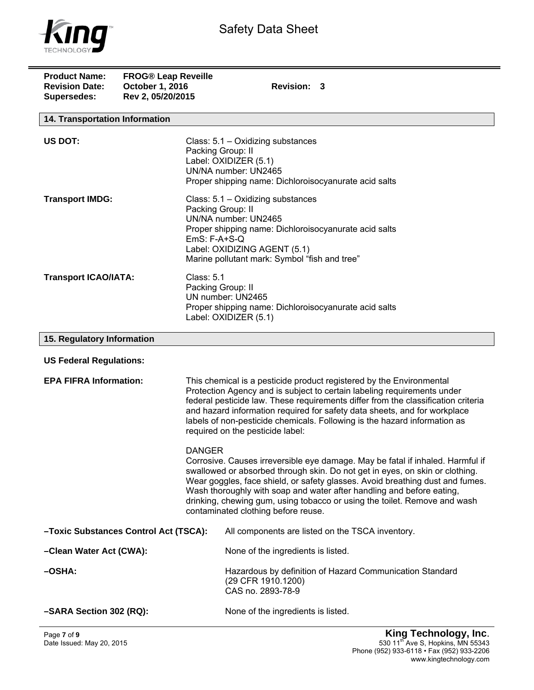

| <b>Product Name:</b><br><b>Revision Date:</b><br><b>Supersedes:</b> | <b>FROG® Leap Reveille</b><br>October 1, 2016<br>Rev 2, 05/20/2015 | <b>Revision: 3</b>                                                                                                                                                                                                                                                                                                                                                                                                                                            |  |
|---------------------------------------------------------------------|--------------------------------------------------------------------|---------------------------------------------------------------------------------------------------------------------------------------------------------------------------------------------------------------------------------------------------------------------------------------------------------------------------------------------------------------------------------------------------------------------------------------------------------------|--|
| 14. Transportation Information                                      |                                                                    |                                                                                                                                                                                                                                                                                                                                                                                                                                                               |  |
| US DOT:                                                             |                                                                    | Class: 5.1 - Oxidizing substances<br>Packing Group: II<br>Label: OXIDIZER (5.1)<br>UN/NA number: UN2465<br>Proper shipping name: Dichloroisocyanurate acid salts                                                                                                                                                                                                                                                                                              |  |
| <b>Transport IMDG:</b>                                              |                                                                    | Class: 5.1 - Oxidizing substances<br>Packing Group: II<br>UN/NA number: UN2465<br>Proper shipping name: Dichloroisocyanurate acid salts<br>$EmS: F-A+S-Q$<br>Label: OXIDIZING AGENT (5.1)<br>Marine pollutant mark: Symbol "fish and tree"                                                                                                                                                                                                                    |  |
| <b>Transport ICAO/IATA:</b>                                         |                                                                    | <b>Class: 5.1</b><br>Packing Group: II<br>UN number: UN2465<br>Proper shipping name: Dichloroisocyanurate acid salts<br>Label: OXIDIZER (5.1)                                                                                                                                                                                                                                                                                                                 |  |
| 15. Regulatory Information                                          |                                                                    |                                                                                                                                                                                                                                                                                                                                                                                                                                                               |  |
| <b>US Federal Regulations:</b>                                      |                                                                    |                                                                                                                                                                                                                                                                                                                                                                                                                                                               |  |
| <b>EPA FIFRA Information:</b>                                       |                                                                    | This chemical is a pesticide product registered by the Environmental<br>Protection Agency and is subject to certain labeling requirements under<br>federal pesticide law. These requirements differ from the classification criteria<br>and hazard information required for safety data sheets, and for workplace<br>labels of non-pesticide chemicals. Following is the hazard information as<br>required on the pesticide label:                            |  |
|                                                                     |                                                                    | <b>DANGER</b><br>Corrosive. Causes irreversible eye damage. May be fatal if inhaled. Harmful if<br>swallowed or absorbed through skin. Do not get in eyes, on skin or clothing.<br>Wear goggles, face shield, or safety glasses. Avoid breathing dust and fumes.<br>Wash thoroughly with soap and water after handling and before eating,<br>drinking, chewing gum, using tobacco or using the toilet. Remove and wash<br>contaminated clothing before reuse. |  |
| -Toxic Substances Control Act (TSCA):                               |                                                                    | All components are listed on the TSCA inventory.                                                                                                                                                                                                                                                                                                                                                                                                              |  |
| -Clean Water Act (CWA):                                             |                                                                    | None of the ingredients is listed.                                                                                                                                                                                                                                                                                                                                                                                                                            |  |
| -OSHA:                                                              |                                                                    | Hazardous by definition of Hazard Communication Standard<br>(29 CFR 1910.1200)<br>CAS no. 2893-78-9                                                                                                                                                                                                                                                                                                                                                           |  |
| -SARA Section 302 (RQ):                                             |                                                                    | None of the ingredients is listed.                                                                                                                                                                                                                                                                                                                                                                                                                            |  |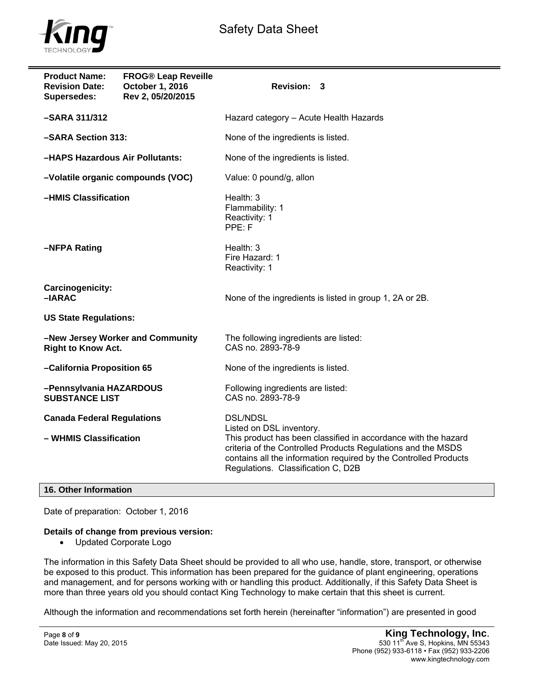



| <b>Product Name:</b><br><b>Revision Date:</b><br><b>Supersedes:</b> | <b>FROG® Leap Reveille</b><br>October 1, 2016<br>Rev 2, 05/20/2015 | Revision: 3                                                                                                                                                                                                                                                                             |  |  |
|---------------------------------------------------------------------|--------------------------------------------------------------------|-----------------------------------------------------------------------------------------------------------------------------------------------------------------------------------------------------------------------------------------------------------------------------------------|--|--|
| -SARA 311/312                                                       |                                                                    | Hazard category - Acute Health Hazards                                                                                                                                                                                                                                                  |  |  |
| -SARA Section 313:                                                  |                                                                    | None of the ingredients is listed.                                                                                                                                                                                                                                                      |  |  |
| -HAPS Hazardous Air Pollutants:                                     |                                                                    | None of the ingredients is listed.                                                                                                                                                                                                                                                      |  |  |
| -Volatile organic compounds (VOC)                                   |                                                                    | Value: 0 pound/g, allon                                                                                                                                                                                                                                                                 |  |  |
| -HMIS Classification                                                |                                                                    | Health: 3<br>Flammability: 1<br>Reactivity: 1<br>PPE: F                                                                                                                                                                                                                                 |  |  |
| -NFPA Rating                                                        |                                                                    | Health: 3<br>Fire Hazard: 1<br>Reactivity: 1                                                                                                                                                                                                                                            |  |  |
| Carcinogenicity:<br>$-IARAC$                                        |                                                                    | None of the ingredients is listed in group 1, 2A or 2B.                                                                                                                                                                                                                                 |  |  |
| <b>US State Regulations:</b>                                        |                                                                    |                                                                                                                                                                                                                                                                                         |  |  |
| -New Jersey Worker and Community<br><b>Right to Know Act.</b>       |                                                                    | The following ingredients are listed:<br>CAS no. 2893-78-9                                                                                                                                                                                                                              |  |  |
| -California Proposition 65                                          |                                                                    | None of the ingredients is listed.                                                                                                                                                                                                                                                      |  |  |
| -Pennsylvania HAZARDOUS<br><b>SUBSTANCE LIST</b>                    |                                                                    | Following ingredients are listed:<br>CAS no. 2893-78-9                                                                                                                                                                                                                                  |  |  |
| <b>Canada Federal Regulations</b><br>- WHMIS Classification         |                                                                    | <b>DSL/NDSL</b><br>Listed on DSL inventory.<br>This product has been classified in accordance with the hazard<br>criteria of the Controlled Products Regulations and the MSDS<br>contains all the information required by the Controlled Products<br>Regulations. Classification C, D2B |  |  |

## **16. Other Information**

Date of preparation: October 1, 2016

## **Details of change from previous version:**

Updated Corporate Logo

The information in this Safety Data Sheet should be provided to all who use, handle, store, transport, or otherwise be exposed to this product. This information has been prepared for the guidance of plant engineering, operations and management, and for persons working with or handling this product. Additionally, if this Safety Data Sheet is more than three years old you should contact King Technology to make certain that this sheet is current.

Although the information and recommendations set forth herein (hereinafter "information") are presented in good